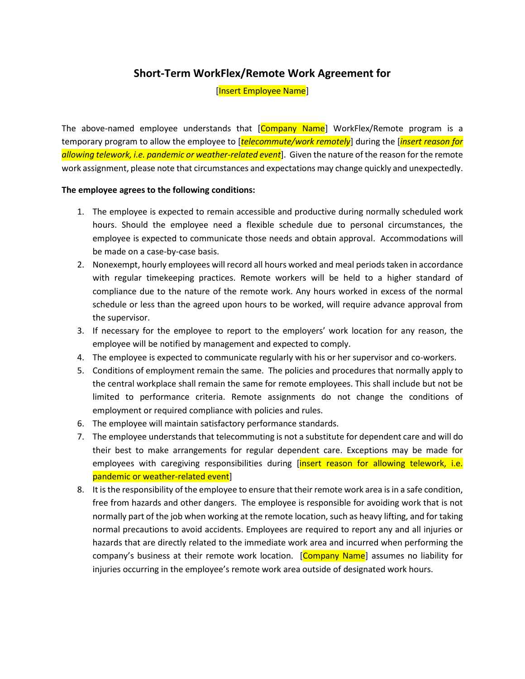## **Short-Term WorkFlex/Remote Work Agreement for**

[Insert Employee Name]

The above-named employee understands that [Company Name] WorkFlex/Remote program is a temporary program to allow the employee to [*telecommute/work remotely*] during the [*insert reason for allowing telework, i.e. pandemic or weather-related event*]. Given the nature of the reason for the remote work assignment, please note that circumstances and expectations may change quickly and unexpectedly.

## **The employee agrees to the following conditions:**

- 1. The employee is expected to remain accessible and productive during normally scheduled work hours. Should the employee need a flexible schedule due to personal circumstances, the employee is expected to communicate those needs and obtain approval. Accommodations will be made on a case-by-case basis.
- 2. Nonexempt, hourly employees will record all hours worked and meal periods taken in accordance with regular timekeeping practices. Remote workers will be held to a higher standard of compliance due to the nature of the remote work. Any hours worked in excess of the normal schedule or less than the agreed upon hours to be worked, will require advance approval from the supervisor.
- 3. If necessary for the employee to report to the employers' work location for any reason, the employee will be notified by management and expected to comply.
- 4. The employee is expected to communicate regularly with his or her supervisor and co-workers.
- 5. Conditions of employment remain the same. The policies and procedures that normally apply to the central workplace shall remain the same for remote employees. This shall include but not be limited to performance criteria. Remote assignments do not change the conditions of employment or required compliance with policies and rules.
- 6. The employee will maintain satisfactory performance standards.
- 7. The employee understands that telecommuting is not a substitute for dependent care and will do their best to make arrangements for regular dependent care. Exceptions may be made for employees with caregiving responsibilities during *[insert reason for allowing telework, i.e.* pandemic or weather-related event]
- 8. It is the responsibility of the employee to ensure that their remote work area is in a safe condition, free from hazards and other dangers. The employee is responsible for avoiding work that is not normally part of the job when working at the remote location, such as heavy lifting, and for taking normal precautions to avoid accidents. Employees are required to report any and all injuries or hazards that are directly related to the immediate work area and incurred when performing the company's business at their remote work location. [Company Name] assumes no liability for injuries occurring in the employee's remote work area outside of designated work hours.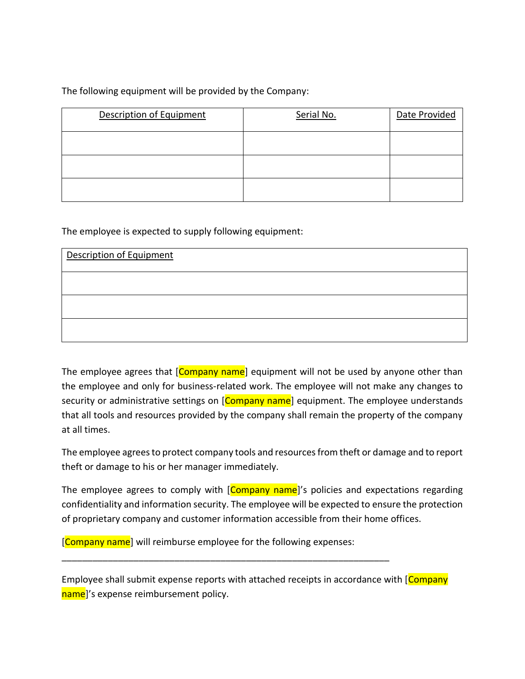The following equipment will be provided by the Company:

| <b>Description of Equipment</b> | Serial No. | Date Provided |
|---------------------------------|------------|---------------|
|                                 |            |               |
|                                 |            |               |
|                                 |            |               |

The employee is expected to supply following equipment:

| Description of Equipment |  |  |
|--------------------------|--|--|
|                          |  |  |
|                          |  |  |
|                          |  |  |

The employee agrees that [Company name] equipment will not be used by anyone other than the employee and only for business-related work. The employee will not make any changes to security or administrative settings on [Company name] equipment. The employee understands that all tools and resources provided by the company shall remain the property of the company at all times.

The employee agrees to protect company tools and resources from theft or damage and to report theft or damage to his or her manager immediately.

The employee agrees to comply with [Company name]'s policies and expectations regarding confidentiality and information security. The employee will be expected to ensure the protection of proprietary company and customer information accessible from their home offices.

[Company name] will reimburse employee for the following expenses:

\_\_\_\_\_\_\_\_\_\_\_\_\_\_\_\_\_\_\_\_\_\_\_\_\_\_\_\_\_\_\_\_\_\_\_\_\_\_\_\_\_\_\_\_\_\_\_\_\_\_\_\_\_\_\_\_\_\_\_\_\_\_\_\_

Employee shall submit expense reports with attached receipts in accordance with [Company] name]'s expense reimbursement policy.